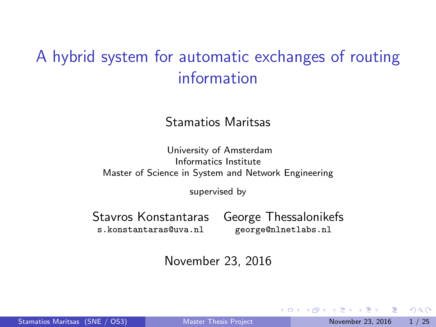## <span id="page-0-0"></span>A hybrid system for automatic exchanges of routing information

Stamatios Maritsas

University of Amsterdam Informatics Institute Master of Science in System and Network Engineering

supervised by

Stavros Konstantaras George Thessalonikefs s.konstantaras@uva.nl george@nlnetlabs.nl

November 23, 2016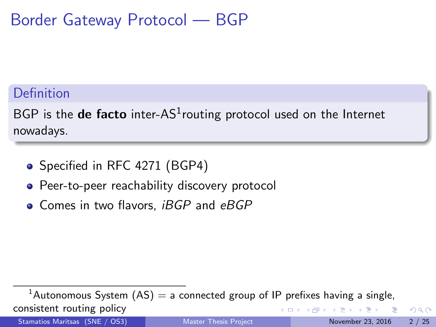### Border Gateway Protocol — BGP

### **Definition**

 $BGP$  is the de facto inter-AS $^1$ routing protocol used on the Internet nowadays.

- Specified in RFC 4271 (BGP4)
- Peer-to-peer reachability discovery protocol
- $\bullet$  Comes in two flavors, *iBGP* and  $eBGP$

<sup>1</sup>Autonomous System  $(AS) = a$  connected group of IP prefixes having a single, consistent routing policy  $A \equiv \lambda \quad A \equiv \lambda$ 4 D F Stamatios Maritsas (SNE / OS3) [Master Thesis Project](#page-0-0) November 23, 2016 2 / 25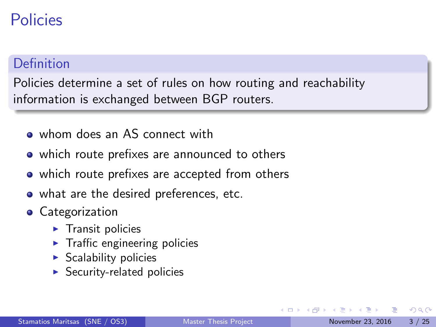### Policies

### Definition

Policies determine a set of rules on how routing and reachability information is exchanged between BGP routers.

- whom does an AS connect with
- which route prefixes are announced to others
- which route prefixes are accepted from others
- what are the desired preferences, etc.
- **•** Categorization
	- $\blacktriangleright$  Transit policies
	- $\blacktriangleright$  Traffic engineering policies
	- $\blacktriangleright$  Scalability policies
	- $\blacktriangleright$  Security-related policies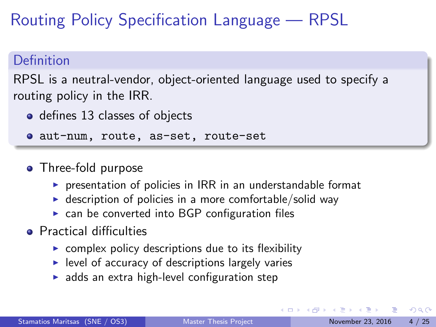Routing Policy Specification Language — RPSL

### Definition

RPSL is a neutral-vendor, object-oriented language used to specify a routing policy in the IRR.

• defines 13 classes of objects

aut-num, route, as-set, route-set

### • Three-fold purpose

- $\triangleright$  presentation of policies in IRR in an understandable format
- $\blacktriangleright$  description of policies in a more comfortable/solid way
- $\triangleright$  can be converted into BGP configuration files
- **•** Practical difficulties
	- $\triangleright$  complex policy descriptions due to its flexibility
	- $\blacktriangleright$  level of accuracy of descriptions largely varies
	- $\blacktriangleright$  adds an extra high-level configuration step

 $QQ$ 

 $\mathcal{A} \cap \mathcal{B} \rightarrow \mathcal{A} \ni \mathcal{B} \rightarrow \mathcal{A} \ni \mathcal{B} \rightarrow \mathcal{B}$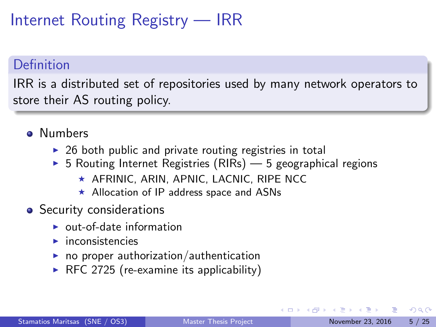## Internet Routing Registry — IRR

### Definition

IRR is a distributed set of repositories used by many network operators to store their AS routing policy.

- **o** Numbers
	- $\triangleright$  26 both public and private routing registries in total
	- $\triangleright$  5 Routing Internet Registries (RIRs) 5 geographical regions
		- $\star$  AFRINIC, ARIN, APNIC, LACNIC, RIPE NCC
		- $\star$  Allocation of IP address space and ASNs
- Security considerations
	- $\triangleright$  out-of-date information
	- $\blacktriangleright$  inconsistencies
	- $\triangleright$  no proper authorization/authentication
	- $\triangleright$  RFC 2725 (re-examine its applicability)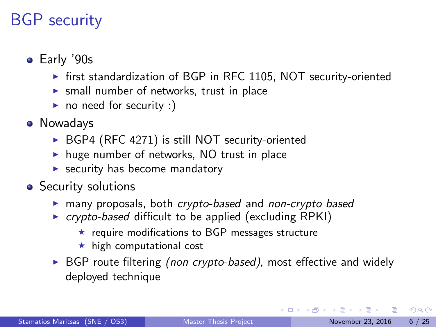## BGP security

- Early '90s
	- $\triangleright$  first standardization of BGP in RFC 1105, NOT security-oriented
	- $\triangleright$  small number of networks, trust in place
	- $\triangleright$  no need for security :)
- Nowadays
	- $\triangleright$  BGP4 (RFC 4271) is still NOT security-oriented
	- $\triangleright$  huge number of networks, NO trust in place
	- $\blacktriangleright$  security has become mandatory
- Security solutions
	- $\triangleright$  many proposals, both crypto-based and non-crypto based
	- $\triangleright$  crypto-based difficult to be applied (excluding RPKI)
		- $\star$  require modifications to BGP messages structure
		- $\star$  high computational cost
	- $\triangleright$  BGP route filtering (non crypto-based), most effective and widely deployed technique

 $QQ$ 

 $A \oplus B$   $A \oplus B$   $A \oplus B$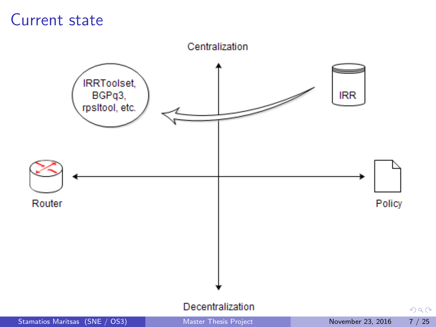### Current state

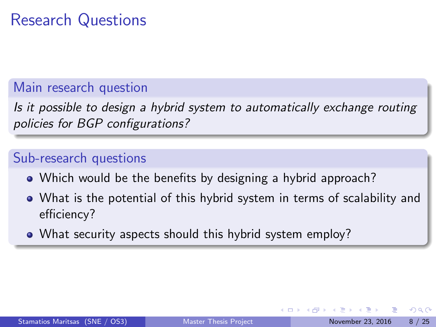## Research Questions

### Main research question

Is it possible to design a hybrid system to automatically exchange routing policies for BGP configurations?

### Sub-research questions

- Which would be the benefits by designing a hybrid approach?
- What is the potential of this hybrid system in terms of scalability and efficiency?
- What security aspects should this hybrid system employ?

 $200$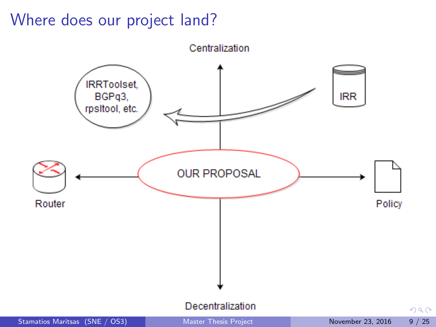### Where does our project land?

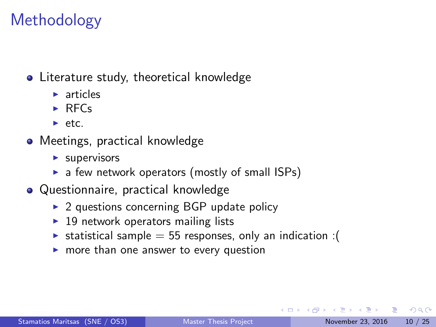## Methodology

### **•** Literature study, theoretical knowledge

- $\blacktriangleright$  articles
- $\triangleright$  RFCs
- $\blacktriangleright$  etc.
- Meetings, practical knowledge
	- $\blacktriangleright$  supervisors
	- $\triangleright$  a few network operators (mostly of small ISPs)
- Questionnaire, practical knowledge
	- $\triangleright$  2 questions concerning BGP update policy
	- $\blacktriangleright$  19 network operators mailing lists
	- **Example = 55 responses, only an indication :** (
	- $\triangleright$  more than one answer to every question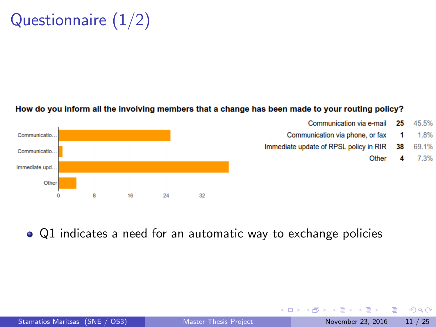## Questionnaire (1/2)

#### How do you inform all the involving members that a change has been made to your routing policy?



• Q1 indicates a need for an automatic way to exchange policies

画

イロト イ母 トイヨ トイヨト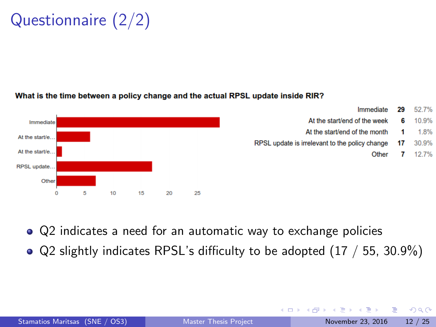<span id="page-11-0"></span>Questionnaire (2/2)

#### What is the time between a policy change and the actual RPSL update inside RIR?



Q2 indicates a need for an automatic way to exchange policies

 $\bullet$  Q2 slightly indicates RPSL's difficulty to be adopted (17 / 55, 30.9%)

画

 $\Omega$ 

**The South Book** 

4 0 8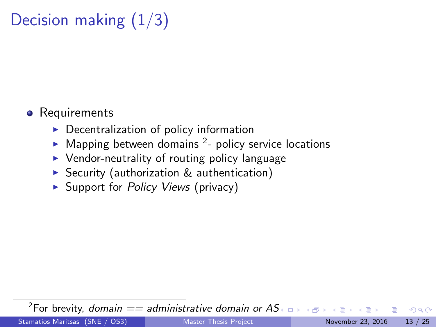## Decision making  $(1/3)$

### **•** Requirements

- $\triangleright$  Decentralization of policy information
- $\blacktriangleright$  Mapping between domains <sup>2</sup>- policy service locations
- $\triangleright$  Vendor-neutrality of routing policy language
- $\triangleright$  Security (authorization & authentication)
- $\triangleright$  Support for *Policy Views* (privacy)

<sup>2</sup>For brevity, domain  $==$  administrative domain or A[S](#page-11-0)

 $\Omega$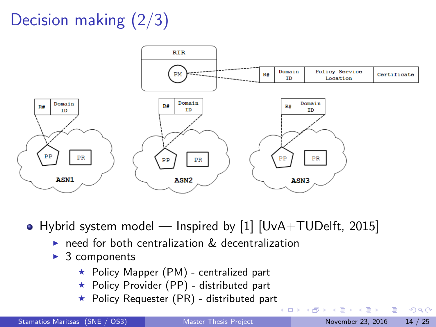## Decision making (2/3)



• Hybrid system model — Inspired by [\[1\]](#page-23-0) [UvA+TUDelft, 2015]

- $\triangleright$  need for both centralization  $\&$  decentralization
- $\triangleright$  3 components
	- $\star$  Policy Mapper (PM) centralized part
	- \* Policy Provider (PP) distributed part
	- $\star$  Policy Requester (PR) distributed part

(□ ) ( ) +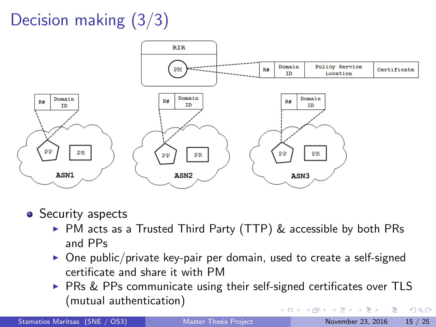## Decision making (3/3)



- Security aspects
	- $\triangleright$  PM acts as a Trusted Third Party (TTP)  $\&$  accessible by both PRs and PPs
	- $\triangleright$  One public/private key-pair per domain, used to create a self-signed certificate and share it with PM
	- $\triangleright$  PRs & PPs communicate using their self-signed certificates over TLS (mutual authentication)  $QQ$ イロト イ押ト イヨト イヨト

Stamatios Maritsas (SNE / OS3) [Master Thesis Project](#page-0-0) November 23, 2016 15 / 25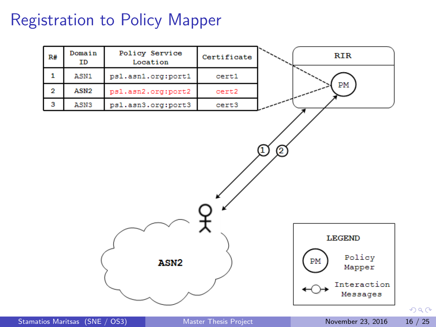## Registration to Policy Mapper



 $299$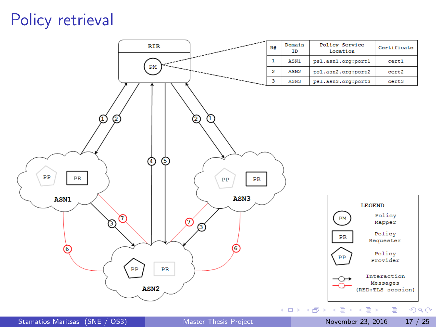### Policy retrieval

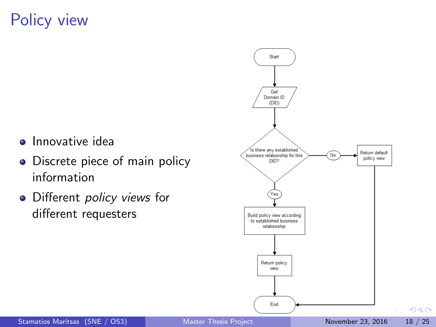## Policy view

- **•** Innovative idea
- Discrete piece of main policy information
- Different *policy views* for different requesters

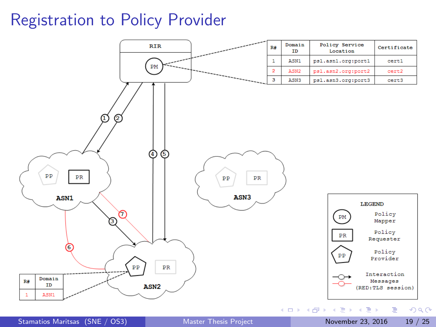## Registration to Policy Provider

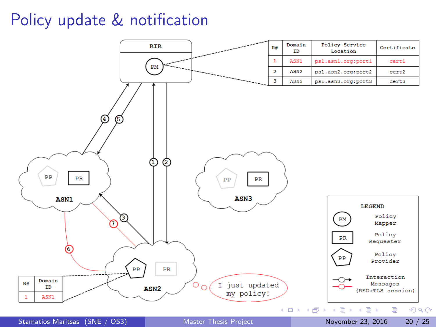## Policy update & notification



Stamatios Maritsas (SNE / OS3) [Master Thesis Project](#page-0-0) November 23, 2016 20 / 25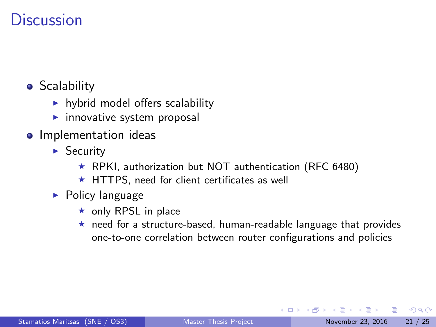### **Discussion**

- **•** Scalability
	- $\blacktriangleright$  hybrid model offers scalability
	- $\blacktriangleright$  innovative system proposal
- **•** Implementation ideas
	- $\triangleright$  Security
		- $\star$  RPKI, authorization but NOT authentication (RFC 6480)
		- $\star$  HTTPS, need for client certificates as well
	- $\blacktriangleright$  Policy language
		- $\star$  only RPSL in place
		- $\star$  need for a structure-based, human-readable language that provides one-to-one correlation between router configurations and policies

 $\Omega$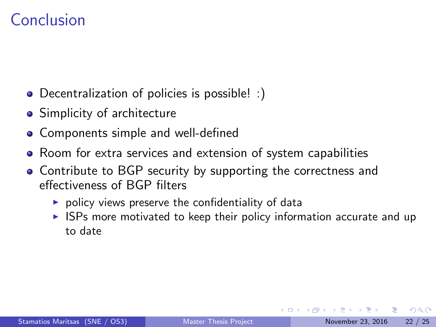### Conclusion

- Decentralization of policies is possible! :)
- **•** Simplicity of architecture
- Components simple and well-defined
- Room for extra services and extension of system capabilities
- Contribute to BGP security by supporting the correctness and effectiveness of BGP filters
	- $\triangleright$  policy views preserve the confidentiality of data
	- $\triangleright$  ISPs more motivated to keep their policy information accurate and up to date

 $\Omega$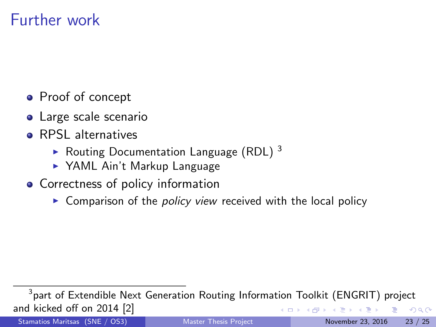### Further work

- Proof of concept
- Large scale scenario
- **e** RPSL alternatives
	- $\blacktriangleright$  Routing Documentation Language (RDL) 3
	- ▶ YAML Ain't Markup Language
- Correctness of policy information
	- $\triangleright$  Comparison of the *policy view* received with the local policy

Stamatios Maritsas (SNE / OS3) [Master Thesis Project](#page-0-0) November 23, 2016 23 / 25

 $^3$ part of Extendible Next Generation Routing Information Toolkit (ENGRIT) project and kicked off on 2014 [\[2\]](#page-23-1)  $\Omega$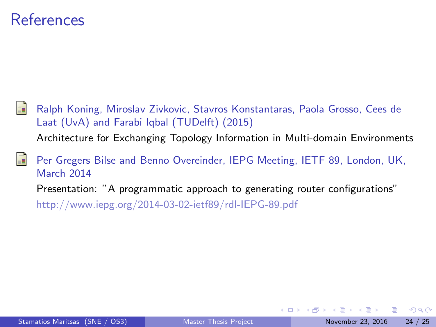### References

<span id="page-23-0"></span>Ralph Koning, Miroslav Zivkovic, Stavros Konstantaras, Paola Grosso, Cees de Laat (UvA) and Farabi Iqbal (TUDelft) (2015) Architecture for Exchanging Topology Information in Multi-domain Environments

<span id="page-23-1"></span>Per Gregers Bilse and Benno Overeinder, IEPG Meeting, IETF 89, London, UK, March 2014 Presentation: "A programmatic approach to generating router configurations"

<http://www.iepg.org/2014-03-02-ietf89/rdl-IEPG-89.pdf>

 $QQ$ 

 $\mathcal{A} \cap \mathbb{P} \rightarrow \mathcal{A} \supseteq \mathcal{A} \rightarrow \mathcal{A} \supseteq \mathcal{A}$